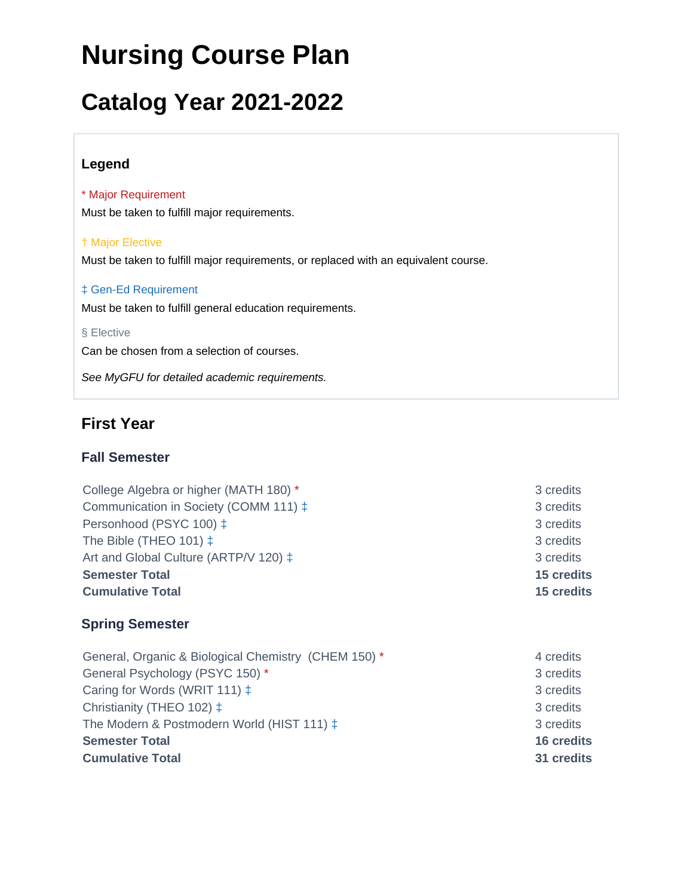# **Nursing Course Plan**

# **Catalog Year 2021-2022**

### **Legend**

\* Major Requirement Must be taken to fulfill major requirements.

#### † Major Elective

Must be taken to fulfill major requirements, or replaced with an equivalent course.

#### ‡ Gen-Ed Requirement

Must be taken to fulfill general education requirements.

#### § Elective

Can be chosen from a selection of courses.

See MyGFU for detailed academic requirements.

# **First Year**

### **Fall Semester**

College Algebra or higher (MATH 180) \* 3 credits Communication in Society (COMM 111)  $\pm$  3 credits Personhood (PSYC 100)  $\pm$  3 credits 3 credits The Bible (THEO 101)  $\ddagger$  3 credits Art and Global Culture (ARTP/V 120)  $\pm$  3 credits 3 **Semester Total 15 credits Cumulative Total 15 credits**

### **Spring Semester**

General, Organic & Biological Chemistry (CHEM 150) \* 4 credits General Psychology (PSYC 150) \* 3 credits 3 3 credits Caring for Words (WRIT 111)  $\ddagger$  3 credits Christianity (THEO 102)  $\ddagger$  3 credits The Modern & Postmodern World (HIST 111)  $\ddagger$  3 credits **Semester Total 16 credits Cumulative Total 31 credits**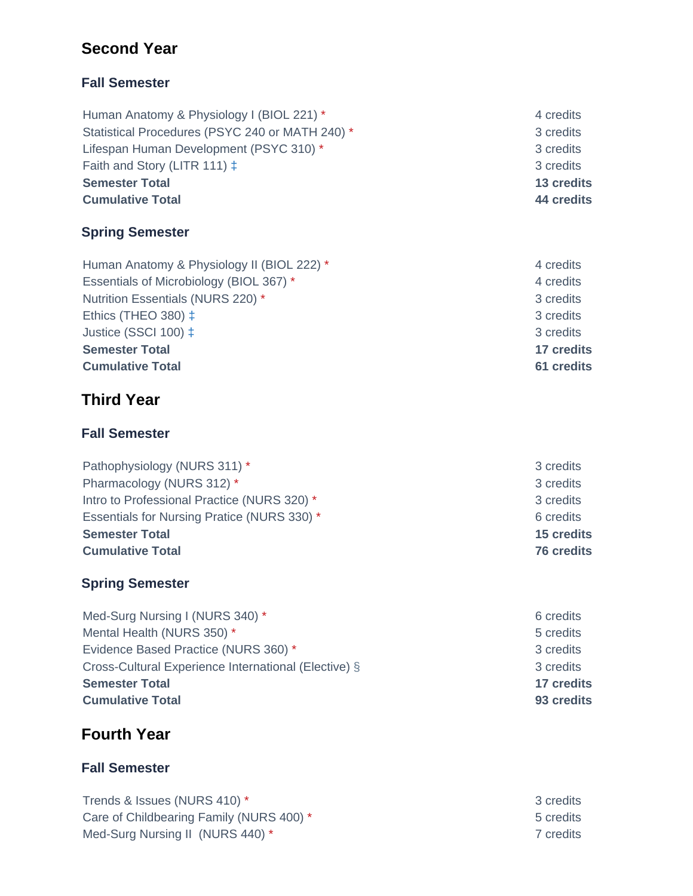# **Second Year**

# **Fall Semester**

Human Anatomy & Physiology I (BIOL 221) \* 4 credits Statistical Procedures (PSYC 240 or MATH 240) \* 3 credits Lifespan Human Development (PSYC 310) \* 3 credits Faith and Story (LITR 111)  $\ddagger$  3 credits **Semester Total 13 credits Cumulative Total 44 credits**

# **Spring Semester**

Human Anatomy & Physiology II (BIOL 222) \* 4 credits Essentials of Microbiology (BIOL 367) \* 4 credits Nutrition Essentials (NURS 220) \* 3 credits Ethics (THEO 380)  $\pm$  3 credits Justice (SSCI 100)  $\pm$  3 credits **Semester Total 17 credits Cumulative Total 61 credits**

# **Third Year**

## **Fall Semester**

| Pathophysiology (NURS 311) *                | 3 credits         |
|---------------------------------------------|-------------------|
| Pharmacology (NURS 312) *                   | 3 credits         |
| Intro to Professional Practice (NURS 320) * | 3 credits         |
| Essentials for Nursing Pratice (NURS 330) * | 6 credits         |
| <b>Semester Total</b>                       | 15 credits        |
| <b>Cumulative Total</b>                     | <b>76 credits</b> |
|                                             |                   |

# **Spring Semester**

Med-Surg Nursing I (NURS 340) \* 6 credits Mental Health (NURS 350) \* 5 credits Evidence Based Practice (NURS 360) \* 3 credits Cross-Cultural Experience International (Elective) § 3 credits **Semester Total 17 credits Cumulative Total 93 credits**

# **Fourth Year**

## **Fall Semester**

Trends & Issues (NURS 410) \* 3 credits Care of Childbearing Family (NURS 400) \* 5 credits Med-Surg Nursing II (NURS 440) \* 7 credits

- 
- 
- 
- 
- 

- 
-